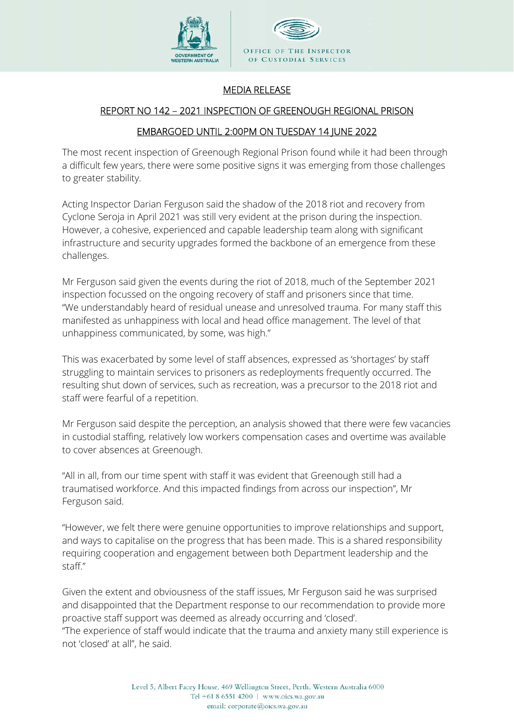

## MEDIA RELEASE

## REPORT NO 142 – 2021 INSPECTION OF GREENOUGH REGIONAL PRISON

## EMBARGOED UNTIL 2:00PM ON TUESDAY 14 JUNE 2022

The most recent inspection of Greenough Regional Prison found while it had been through a difficult few years, there were some positive signs it was emerging from those challenges to greater stability.

Acting Inspector Darian Ferguson said the shadow of the 2018 riot and recovery from Cyclone Seroja in April 2021 was still very evident at the prison during the inspection. However, a cohesive, experienced and capable leadership team along with significant infrastructure and security upgrades formed the backbone of an emergence from these challenges.

Mr Ferguson said given the events during the riot of 2018, much of the September 2021 inspection focussed on the ongoing recovery of staff and prisoners since that time. "We understandably heard of residual unease and unresolved trauma. For many staff this manifested as unhappiness with local and head office management. The level of that unhappiness communicated, by some, was high."

This was exacerbated by some level of staff absences, expressed as 'shortages' by staff struggling to maintain services to prisoners as redeployments frequently occurred. The resulting shut down of services, such as recreation, was a precursor to the 2018 riot and staff were fearful of a repetition.

Mr Ferguson said despite the perception, an analysis showed that there were few vacancies in custodial staffing, relatively low workers compensation cases and overtime was available to cover absences at Greenough.

"All in all, from our time spent with staff it was evident that Greenough still had a traumatised workforce. And this impacted findings from across our inspection", Mr Ferguson said.

"However, we felt there were genuine opportunities to improve relationships and support, and ways to capitalise on the progress that has been made. This is a shared responsibility requiring cooperation and engagement between both Department leadership and the staff."

Given the extent and obviousness of the staff issues, Mr Ferguson said he was surprised and disappointed that the Department response to our recommendation to provide more proactive staff support was deemed as already occurring and 'closed'. "The experience of staff would indicate that the trauma and anxiety many still experience is not 'closed' at all", he said.